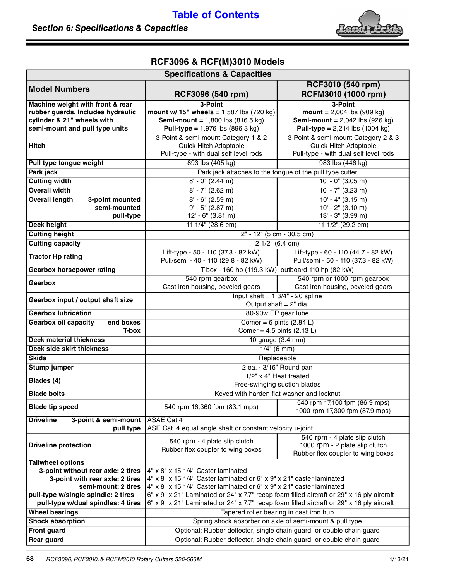## **[Table of Contents](#page--1-0)**

## **Section 6: Specifications & Capacities**



## **RCF3096 & RCF(M)3010 Models**

| <b>Specifications &amp; Capacities</b>                       |                                                                                           |                                                                                    |
|--------------------------------------------------------------|-------------------------------------------------------------------------------------------|------------------------------------------------------------------------------------|
| <b>Model Numbers</b>                                         |                                                                                           | RCF3010 (540 rpm)                                                                  |
|                                                              | RCF3096 (540 rpm)                                                                         | RCFM3010 (1000 rpm)                                                                |
| Machine weight with front & rear                             | 3-Point                                                                                   | 3-Point                                                                            |
| rubber guards. Includes hydraulic                            | mount w/ 15" wheels = $1,587$ lbs (720 kg)                                                | $mount = 2,004$ lbs (909 kg)                                                       |
| cylinder & 21" wheels with<br>semi-mount and pull type units | <b>Semi-mount = 1,800 lbs (816.5 kg)</b><br><b>Pull-type = 1,976 lbs (896.3 kg)</b>       | <b>Semi-mount</b> = $2,042$ lbs (926 kg)<br><b>Pull-type = 2,214 lbs (1004 kg)</b> |
|                                                              | 3-Point & semi-mount Category 1 & 2                                                       | 3-Point & semi-mount Category 2 & 3                                                |
| <b>Hitch</b>                                                 | <b>Quick Hitch Adaptable</b>                                                              | Quick Hitch Adaptable                                                              |
|                                                              | Pull-type - with dual self level rods                                                     | Pull-type - with dual self level rods                                              |
| Pull type tongue weight                                      | 893 lbs (405 kg)                                                                          | 983 lbs (446 kg)                                                                   |
| Park jack                                                    | Park jack attaches to the tongue of the pull type cutter                                  |                                                                                    |
| <b>Cutting width</b>                                         | $8' - 0''$ (2.44 m)                                                                       | $10' - 0'' (3.05 m)$                                                               |
| <b>Overall width</b>                                         | $8' - 7''$ (2.62 m)                                                                       | $10' - 7''$ (3.23 m)                                                               |
| <b>Overall length</b><br>3-point mounted                     | $8' - 6''$ (2.59 m)                                                                       | $10' - 4''$ (3.15 m)                                                               |
| semi-mounted                                                 | $9' - 5''$ (2.87 m)                                                                       | $10' - 2''$ (3.10 m)                                                               |
| pull-type                                                    | $12' - 6''$ (3.81 m)                                                                      | 13' - 3" (3.99 m)                                                                  |
| <b>Deck height</b>                                           | 11 1/4" (28.6 cm)                                                                         | 11 $1/2$ " (29.2 cm)                                                               |
| <b>Cutting height</b>                                        | 2" - 12" (5 cm - 30.5 cm)                                                                 |                                                                                    |
| <b>Cutting capacity</b>                                      | $21/2$ " (6.4 cm)                                                                         |                                                                                    |
|                                                              | Lift-type - 50 - 110 (37.3 - 82 kW)                                                       | Lift-type - 60 - 110 (44.7 - 82 kW)                                                |
| <b>Tractor Hp rating</b>                                     | Pull/semi - 40 - 110 (29.8 - 82 kW)                                                       | Pull/semi - 50 - 110 (37.3 - 82 kW)                                                |
| <b>Gearbox horsepower rating</b>                             | T-box - 160 hp (119.3 kW), outboard 110 hp (82 kW)                                        |                                                                                    |
| Gearbox                                                      | 540 rpm gearbox                                                                           | 540 rpm or 1000 rpm gearbox                                                        |
|                                                              | Cast iron housing, beveled gears                                                          | Cast iron housing, beveled gears                                                   |
| Gearbox input / output shaft size                            | Input shaft = $1 \frac{3}{4}$ - 20 spline                                                 |                                                                                    |
|                                                              | Output shaft $= 2$ " dia.                                                                 |                                                                                    |
| <b>Gearbox lubrication</b>                                   | 80-90w EP gear lube                                                                       |                                                                                    |
| <b>Gearbox oil capacity</b><br>end boxes                     | Comer = $6$ pints (2.84 L)                                                                |                                                                                    |
| T-box                                                        | Comer = $4.5$ pints (2.13 L)                                                              |                                                                                    |
| <b>Deck material thickness</b>                               | 10 gauge (3.4 mm)                                                                         |                                                                                    |
| Deck side skirt thickness                                    | $1/4$ " (6 mm)                                                                            |                                                                                    |
| <b>Skids</b>                                                 | Replaceable<br>2 ea. - 3/16" Round pan                                                    |                                                                                    |
| <b>Stump jumper</b>                                          | 1/2" x 4" Heat treated                                                                    |                                                                                    |
| Blades (4)                                                   | Free-swinging suction blades                                                              |                                                                                    |
| <b>Blade bolts</b>                                           | Keyed with harden flat washer and locknut                                                 |                                                                                    |
|                                                              |                                                                                           | 540 rpm 17,100 fpm (86.9 mps)                                                      |
| <b>Blade tip speed</b>                                       | 540 rpm 16,360 fpm (83.1 mps)                                                             | 1000 rpm 17,300 fpm (87.9 mps)                                                     |
| <b>Driveline</b><br>3-point & semi-mount                     | <b>ASAE Cat 4</b>                                                                         |                                                                                    |
| pull type                                                    | ASE Cat. 4 equal angle shaft or constant velocity u-joint                                 |                                                                                    |
|                                                              | 540 rpm - 4 plate slip clutch                                                             | 540 rpm - 4 plate slip clutch                                                      |
| <b>Driveline protection</b>                                  | Rubber flex coupler to wing boxes                                                         | 1000 rpm - 2 plate slip clutch<br>Rubber flex coupler to wing boxes                |
| <b>Tailwheel options</b>                                     |                                                                                           |                                                                                    |
| 3-point without rear axle: 2 tires                           | 4" x 8" x 15 1/4" Caster laminated                                                        |                                                                                    |
| 3-point with rear axle: 2 tires                              | 4" x 8" x 15 1/4" Caster laminated or 6" x 9" x 21" caster laminated                      |                                                                                    |
| semi-mount: 2 tires                                          | 4" x 8" x 15 1/4" Caster laminated or 6" x 9" x 21" caster laminated                      |                                                                                    |
| pull-type w/single spindle: 2 tires                          | 6" x 9" x 21" Laminated or 24" x 7.7" recap foam filled aircraft or 29" x 16 ply aircraft |                                                                                    |
| pull-type w/dual spindles: 4 tires                           | 6" x 9" x 21" Laminated or 24" x 7.7" recap foam filled aircraft or 29" x 16 ply aircraft |                                                                                    |
| <b>Wheel bearings</b>                                        | Tapered roller bearing in cast iron hub                                                   |                                                                                    |
| <b>Shock absorption</b>                                      | Spring shock absorber on axle of semi-mount & pull type                                   |                                                                                    |
| Front guard                                                  | Optional: Rubber deflector, single chain guard, or double chain guard                     |                                                                                    |
| <b>Rear guard</b>                                            | Optional: Rubber deflector, single chain guard, or double chain guard                     |                                                                                    |
|                                                              |                                                                                           |                                                                                    |